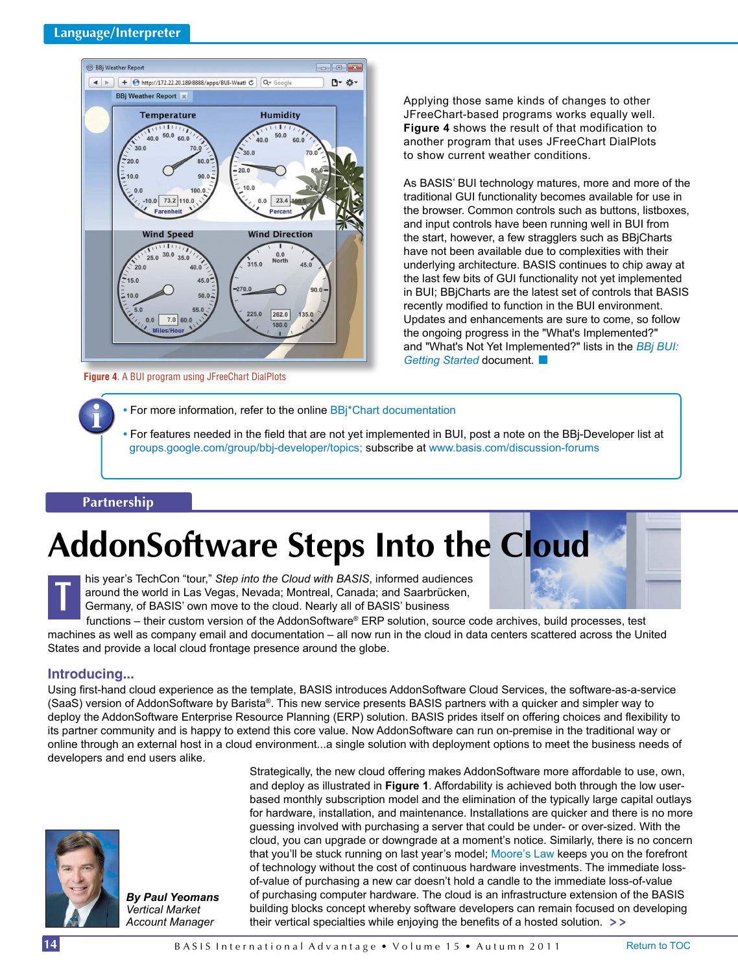

**Figure 4**. A BUI program using JFreeChart DialPlots

Applying those same kinds of changes to other JFreeChart-based programs works equally well. **Figure 4** shows the result of that modification to another program that uses JFreeChart DialPlots to show current weather conditions.

As BASIS' BUI technology matures, more and more of the traditional GUI functionality becomes available for use in the browser. Common controls such as buttons, listboxes, and input controls have been running well in BUI from the start, however, a few stragglers such as BBjCharts have not been available due to complexities with their underlying architecture. BASIS continues to chip away at the last few bits of GUI functionality not yet implemented in BUI; BBjCharts are the latest set of controls that BASIS recently modified to function in the BUI environment. Updates and enhancements are sure to come, so follow the ongoing progress in the "What's Implemented?" and "What's Not Yet Implemented?" lists in the *[BBj BUI:](https://docs.google.com/a/basis.com/Doc?docid=0AaXTr6oaB72uZGZ0dno1azRfMzJjYzc3cWJoYg&hl=en)  [Getting Started](https://docs.google.com/a/basis.com/Doc?docid=0AaXTr6oaB72uZGZ0dno1azRfMzJjYzc3cWJoYg&hl=en)* document.

#### **•** For more information, refer to the online [BBj\\*Chart documentation](http://www.google.com/cse?cx=003274460767330371809%3Aj0x80zwqhy8&ie=UTF-8&q=bbj*chart&sa=Search&siteurl=www.basis.com%2F#gsc.tab=0&gsc.q=bbj*chart&gsc.page=1)

**•** [For features needed in the field that are not yet implemented in BUI, post a note on the BBj-Developer list at](http://links.basis.com/11bbjchart)   [groups.google.com/group/bbj-developer/topics;](https://groups.google.com/group/bbj-developer/topics?pli=1) subscribe at [www.basis.com/discussion-forums](http://www.basis.com/discussion-forums)

#### **Partnership**

# **AddonSoftware Steps Into the Cloud**

his year's TechCon "tour," *Step into the Cloud with BASIS*, informed audiences around the world in Las Vegas, Nevada; Montreal, Canada; and Saarbrücken, Germany, of BASIS' own move to the cloud. Nearly all of BASIS' business



functions – their custom version of the AddonSoftware® ERP solution, source code archives, build processes, test machines as well as company email and documentation – all now run in the cloud in data centers scattered across the United States and provide a local cloud frontage presence around the globe.

## **Introducing...**

Using first-hand cloud experience as the template, BASIS introduces AddonSoftware Cloud Services, the software-as-a-service (SaaS) version of AddonSoftware by Barista®. This new service presents BASIS partners with a quicker and simpler way to deploy the AddonSoftware Enterprise Resource Planning (ERP) solution. BASIS prides itself on offering choices and flexibility to its partner community and is happy to extend this core value. Now AddonSoftware can run on-premise in the traditional way or online through an external host in a cloud environment...a single solution with deployment options to meet the business needs of developers and end users alike.



*By Paul Yeomans Vertical Market Account Manager*

Strategically, the new cloud offering makes AddonSoftware more affordable to use, own, and deploy as illustrated in **Figure 1**. Affordability is achieved both through the low userbased monthly subscription model and the elimination of the typically large capital outlays for hardware, installation, and maintenance. Installations are quicker and there is no more guessing involved with purchasing a server that could be under- or over-sized. With the cloud, you can upgrade or downgrade at a moment's notice. Similarly, there is no concern that you'll be stuck running on last year's model[; Moore's Law k](http://en.wikipedia.org/wiki/Moore)eeps you on the forefront of technology without the cost of continuous hardware investments. The immediate lossof-value of purchasing a new car doesn't hold a candle to the immediate loss-of-value of purchasing computer hardware. The cloud is an infrastructure extension of the BASIS building blocks concept whereby software developers can remain focused on developing their vertical specialties while enjoying the benefits of a hosted solution. **> >**